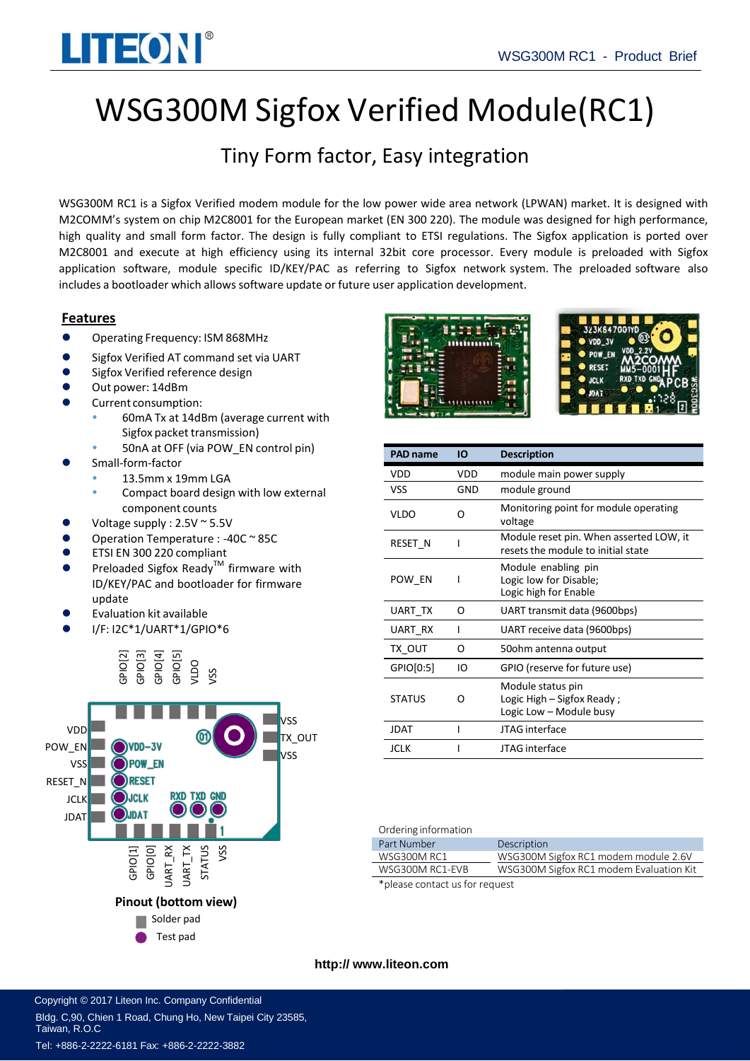

# WSG300M Sigfox Verified Module(RC1)

## Tiny Form factor, Easy integration

WSG300M RC1 is a Sigfox Verified modem module for the low power wide area network (LPWAN) market. It is designed with M2COMM's system on chip M2C8001 for the European market (EN 300 220). The module was designed for high performance, high quality and small form factor. The design is fully compliant to ETSI regulations. The Sigfox application is ported over M2C8001 and execute at high efficiency using its internal 32bit core processor. Every module is preloaded with Sigfox application software, module specific ID/KEY/PAC as referring to Sigfox network system. The preloaded software also includes a bootloader which allows software update or future user application development.

### **Features**

- Operating Frequency: ISM 868MHz
- Sigfox Verified AT command set via UART
- Sigfox Verified reference design
- Out power: 14dBm
- Current consumption:
	- 60mA Tx at 14dBm (average current with Sigfox packet transmission)
	- 50nA at OFF (via POW\_EN control pin)
- Small-form-factor
	- 13.5mm x 19mm LGA
		- Compact board design with low external component counts
- Voltage supply : 2.5V ~ 5.5V
- Operation Temperature : -40C ~ 85C
- ETSI EN 300 220 compliant
- Preloaded Sigfox Ready™ firmware with ID/KEY/PAC and bootloader for firmware update
- Evaluation kit available
- I/F: I2C\*1/UART\*1/GPIO\*6









| <b>PAD name</b> | ΙO  | <b>Description</b>                                                            |
|-----------------|-----|-------------------------------------------------------------------------------|
| VDD             | VDD | module main power supply                                                      |
| VSS             | GND | module ground                                                                 |
| <b>VLDO</b>     | O   | Monitoring point for module operating<br>voltage                              |
| RESET N         |     | Module reset pin. When asserted LOW, it<br>resets the module to initial state |
| POW EN          |     | Module enabling pin<br>Logic low for Disable;<br>Logic high for Enable        |
| UART TX         | ი   | UART transmit data (9600bps)                                                  |
| UART RX         | ı   | UART receive data (9600bps)                                                   |
| TX OUT          | ი   | 50ohm antenna output                                                          |
| GPIO[0:5]       | IO  | GPIO (reserve for future use)                                                 |
| <b>STATUS</b>   | O   | Module status pin<br>Logic High $-$ Sigfox Ready;<br>Logic Low - Module busy  |
| JDAT            |     | JTAG interface                                                                |
| <b>JCLK</b>     |     | <b>ITAG</b> interface                                                         |

#### Ordering information

| 5.9511151101110011011          |                                         |  |
|--------------------------------|-----------------------------------------|--|
| Part Number                    | Description                             |  |
| <b>WSG300M RC1</b>             | WSG300M Sigfox RC1 modem module 2.6V    |  |
| WSG300M RC1-EVB                | WSG300M Sigfox RC1 modem Evaluation Kit |  |
| *please contact us for request |                                         |  |

**http:// [www.liteon.com](http://www.m2comm.co/)** 

Copyright © 2017 Liteon Inc. Company Confidential Bldg. C,90, Chien 1 Road, Chung Ho, New Taipei City 23585, Taiwan, R.O.C